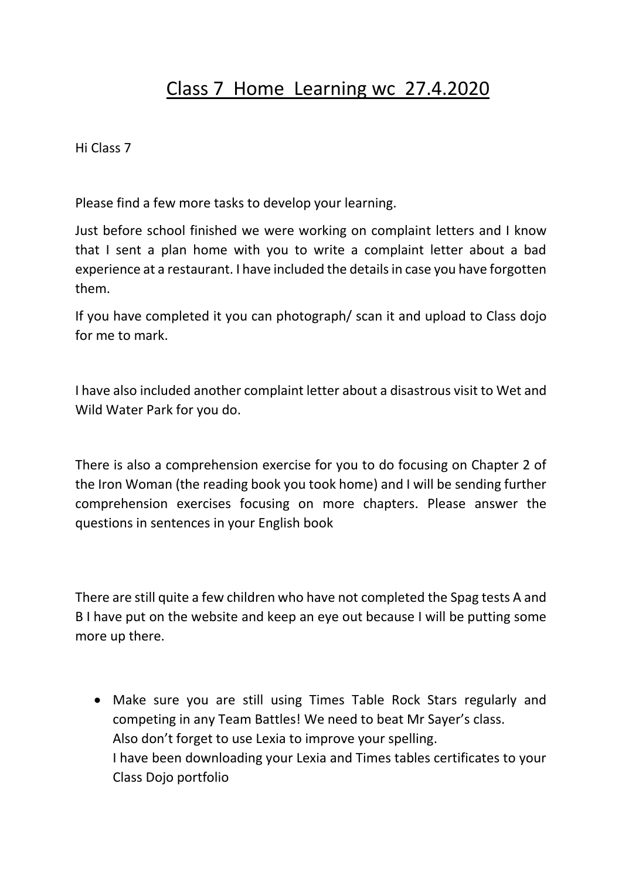## Class 7 Home Learning wc 27.4.2020

Hi Class 7

Please find a few more tasks to develop your learning.

Just before school finished we were working on complaint letters and I know that I sent a plan home with you to write a complaint letter about a bad experience at a restaurant. I have included the details in case you have forgotten them.

If you have completed it you can photograph/ scan it and upload to Class dojo for me to mark.

I have also included another complaint letter about a disastrous visit to Wet and Wild Water Park for you do.

There is also a comprehension exercise for you to do focusing on Chapter 2 of the Iron Woman (the reading book you took home) and I will be sending further comprehension exercises focusing on more chapters. Please answer the questions in sentences in your English book

There are still quite a few children who have not completed the Spag tests A and B I have put on the website and keep an eye out because I will be putting some more up there.

• Make sure you are still using Times Table Rock Stars regularly and competing in any Team Battles! We need to beat Mr Sayer's class. Also don't forget to use Lexia to improve your spelling. I have been downloading your Lexia and Times tables certificates to your Class Dojo portfolio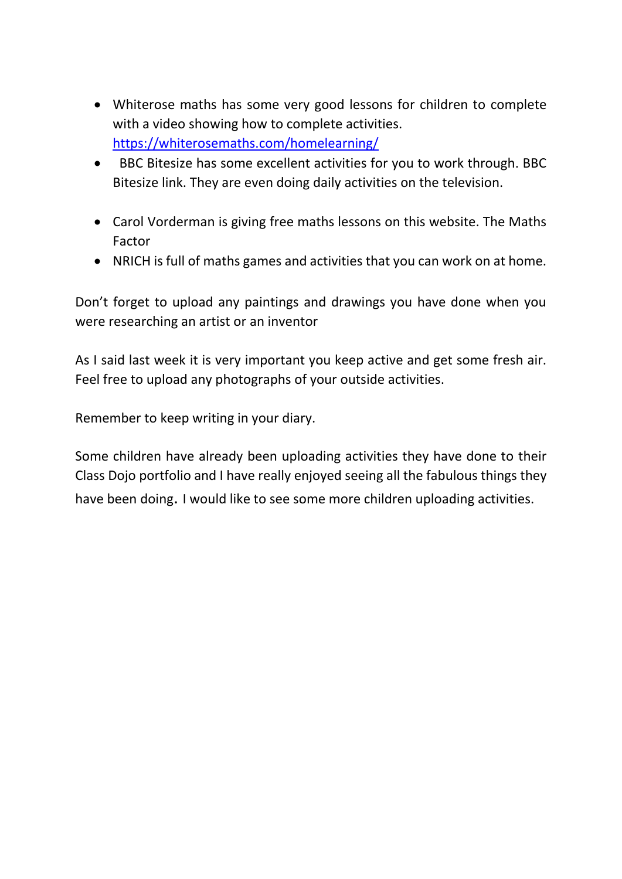- Whiterose maths has some very good lessons for children to complete with a video showing how to complete activities. <https://whiterosemaths.com/homelearning/>
- BBC Bitesize has some excellent activities for you to work through. BBC Bitesize link. They are even doing daily activities on the television.
- Carol Vorderman is giving free maths lessons on this website. The Maths Factor
- NRICH is full of maths games and activities that you can work on at home.

Don't forget to upload any paintings and drawings you have done when you were researching an artist or an inventor

As I said last week it is very important you keep active and get some fresh air. Feel free to upload any photographs of your outside activities.

Remember to keep writing in your diary.

Some children have already been uploading activities they have done to their Class Dojo portfolio and I have really enjoyed seeing all the fabulous things they have been doing. I would like to see some more children uploading activities.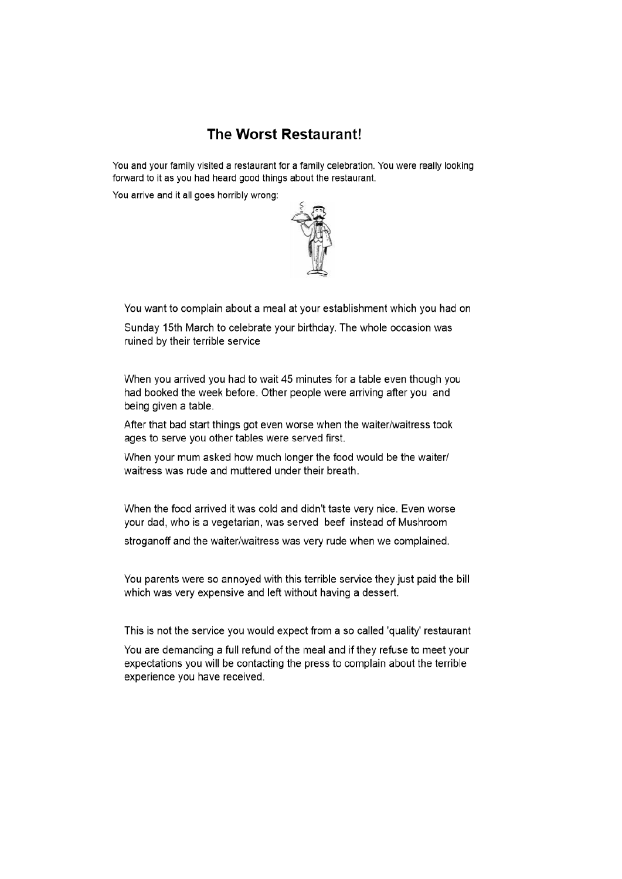## **The Worst Restaurant!**

You and your family visited a restaurant for a family celebration. You were really looking forward to it as you had heard good things about the restaurant.

You arrive and it all goes horribly wrong:



You want to complain about a meal at your establishment which you had on

Sunday 15th March to celebrate your birthday. The whole occasion was ruined by their terrible service

When you arrived you had to wait 45 minutes for a table even though you had booked the week before. Other people were arriving after you and being given a table.

After that bad start things got even worse when the waiter/waitress took ages to serve you other tables were served first.

When your mum asked how much longer the food would be the waiter/ waitress was rude and muttered under their breath.

When the food arrived it was cold and didn't taste very nice. Even worse your dad, who is a vegetarian, was served beef instead of Mushroom

stroganoff and the waiter/waitress was very rude when we complained.

You parents were so annoyed with this terrible service they just paid the bill which was very expensive and left without having a dessert.

This is not the service you would expect from a so called 'quality' restaurant

You are demanding a full refund of the meal and if they refuse to meet your expectations you will be contacting the press to complain about the terrible experience you have received.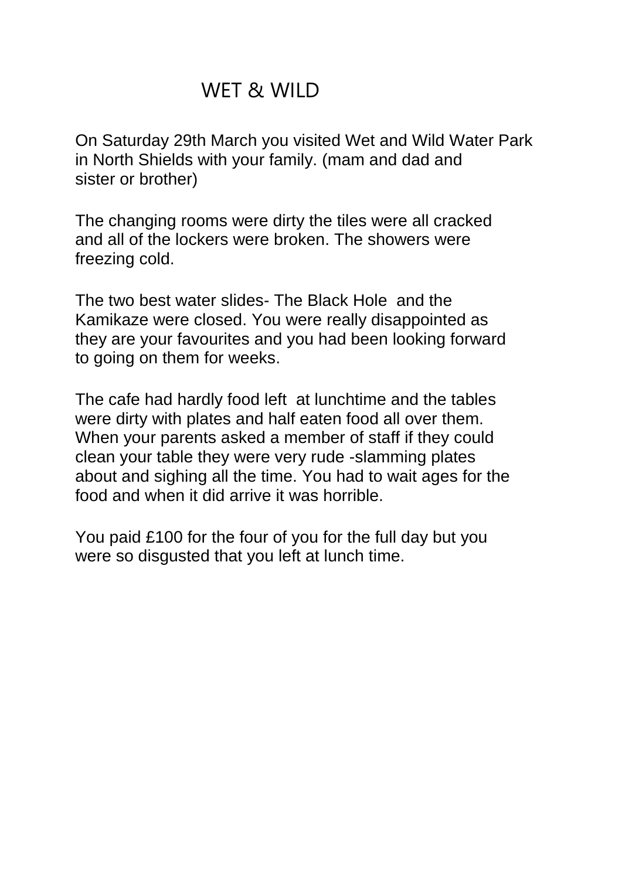## WET & WILD

On Saturday 29th March you visited Wet and Wild Water Park in North Shields with your family. (mam and dad and sister or brother)

The changing rooms were dirty the tiles were all cracked and all of the lockers were broken. The showers were freezing cold.

The two best water slides- The Black Hole and the Kamikaze were closed. You were really disappointed as they are your favourites and you had been looking forward to going on them for weeks.

The cafe had hardly food left at lunchtime and the tables were dirty with plates and half eaten food all over them. When your parents asked a member of staff if they could clean your table they were very rude -slamming plates about and sighing all the time. You had to wait ages for the food and when it did arrive it was horrible.

You paid £100 for the four of you for the full day but you were so disgusted that you left at lunch time.